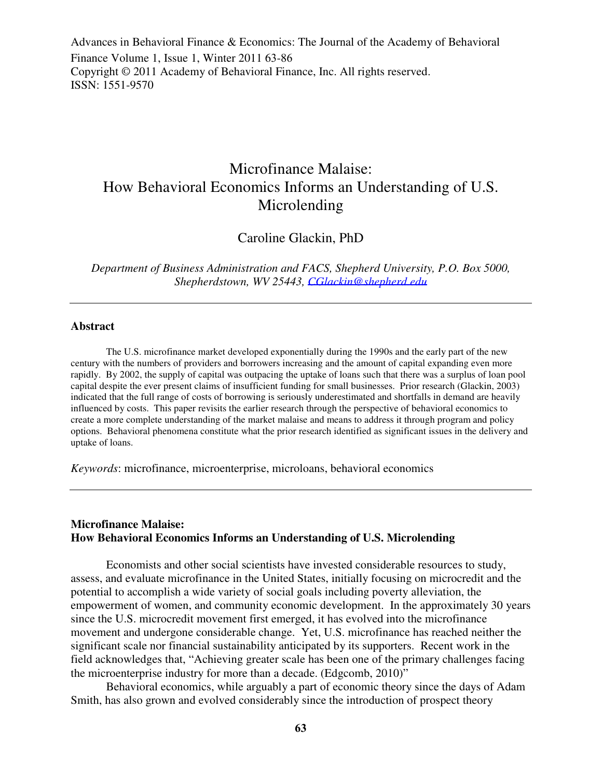Advances in Behavioral Finance & Economics: The Journal of the Academy of Behavioral Finance Volume 1, Issue 1, Winter 2011 63-86 Copyright © 2011 Academy of Behavioral Finance, Inc. All rights reserved. ISSN: 1551-9570

# Microfinance Malaise: How Behavioral Economics Informs an Understanding of U.S. Microlending

Caroline Glackin, PhD

*Department of Business Administration and FACS, Shepherd University, P.O. Box 5000, Shepherdstown, WV 25443, CGlackin@shepherd.edu*

#### **Abstract**

The U.S. microfinance market developed exponentially during the 1990s and the early part of the new century with the numbers of providers and borrowers increasing and the amount of capital expanding even more rapidly. By 2002, the supply of capital was outpacing the uptake of loans such that there was a surplus of loan pool capital despite the ever present claims of insufficient funding for small businesses.Prior research (Glackin, 2003) indicated that the full range of costs of borrowing is seriously underestimated and shortfalls in demand are heavily influenced by costs. This paper revisits the earlier research through the perspective of behavioral economics to create a more complete understanding of the market malaise and means to address it through program and policy options. Behavioral phenomena constitute what the prior research identified as significant issues in the delivery and uptake of loans.

*Keywords*: microfinance, microenterprise, microloans, behavioral economics

#### **Microfinance Malaise: How Behavioral Economics Informs an Understanding of U.S. Microlending**

Economists and other social scientists have invested considerable resources to study, assess, and evaluate microfinance in the United States, initially focusing on microcredit and the potential to accomplish a wide variety of social goals including poverty alleviation, the empowerment of women, and community economic development. In the approximately 30 years since the U.S. microcredit movement first emerged, it has evolved into the microfinance movement and undergone considerable change. Yet, U.S. microfinance has reached neither the significant scale nor financial sustainability anticipated by its supporters. Recent work in the field acknowledges that, "Achieving greater scale has been one of the primary challenges facing the microenterprise industry for more than a decade. (Edgcomb, 2010)"

Behavioral economics, while arguably a part of economic theory since the days of Adam Smith, has also grown and evolved considerably since the introduction of prospect theory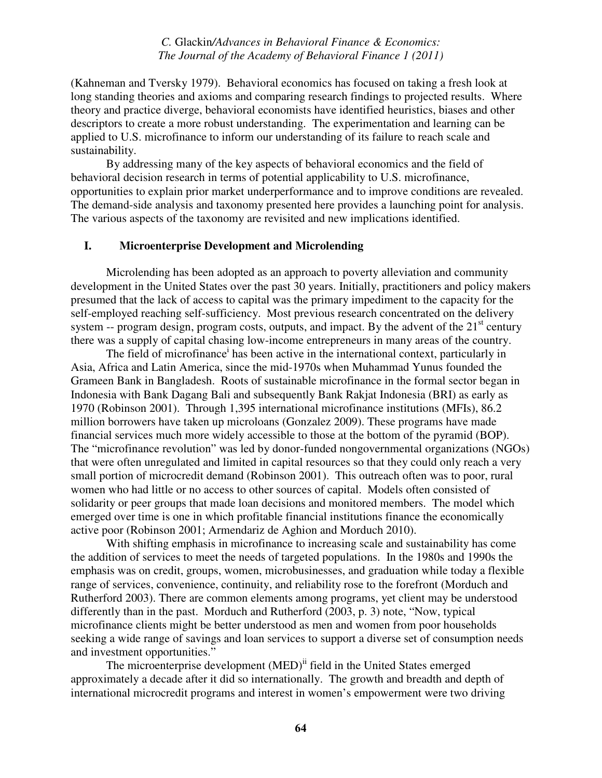(Kahneman and Tversky 1979). Behavioral economics has focused on taking a fresh look at long standing theories and axioms and comparing research findings to projected results. Where theory and practice diverge, behavioral economists have identified heuristics, biases and other descriptors to create a more robust understanding. The experimentation and learning can be applied to U.S. microfinance to inform our understanding of its failure to reach scale and sustainability.

By addressing many of the key aspects of behavioral economics and the field of behavioral decision research in terms of potential applicability to U.S. microfinance, opportunities to explain prior market underperformance and to improve conditions are revealed. The demand-side analysis and taxonomy presented here provides a launching point for analysis. The various aspects of the taxonomy are revisited and new implications identified.

#### **I. Microenterprise Development and Microlending**

Microlending has been adopted as an approach to poverty alleviation and community development in the United States over the past 30 years. Initially, practitioners and policy makers presumed that the lack of access to capital was the primary impediment to the capacity for the self-employed reaching self-sufficiency. Most previous research concentrated on the delivery system -- program design, program costs, outputs, and impact. By the advent of the  $21<sup>st</sup>$  century there was a supply of capital chasing low-income entrepreneurs in many areas of the country.

The field of microfinance<sup>i</sup> has been active in the international context, particularly in Asia, Africa and Latin America, since the mid-1970s when Muhammad Yunus founded the Grameen Bank in Bangladesh. Roots of sustainable microfinance in the formal sector began in Indonesia with Bank Dagang Bali and subsequently Bank Rakjat Indonesia (BRI) as early as 1970 (Robinson 2001). Through 1,395 international microfinance institutions (MFIs), 86.2 million borrowers have taken up microloans (Gonzalez 2009). These programs have made financial services much more widely accessible to those at the bottom of the pyramid (BOP). The "microfinance revolution" was led by donor-funded nongovernmental organizations (NGOs) that were often unregulated and limited in capital resources so that they could only reach a very small portion of microcredit demand (Robinson 2001). This outreach often was to poor, rural women who had little or no access to other sources of capital. Models often consisted of solidarity or peer groups that made loan decisions and monitored members. The model which emerged over time is one in which profitable financial institutions finance the economically active poor (Robinson 2001; Armendariz de Aghion and Morduch 2010).

With shifting emphasis in microfinance to increasing scale and sustainability has come the addition of services to meet the needs of targeted populations. In the 1980s and 1990s the emphasis was on credit, groups, women, microbusinesses, and graduation while today a flexible range of services, convenience, continuity, and reliability rose to the forefront (Morduch and Rutherford 2003). There are common elements among programs, yet client may be understood differently than in the past. Morduch and Rutherford (2003, p. 3) note, "Now, typical microfinance clients might be better understood as men and women from poor households seeking a wide range of savings and loan services to support a diverse set of consumption needs and investment opportunities."

The microenterprise development (MED)<sup>ii</sup> field in the United States emerged approximately a decade after it did so internationally. The growth and breadth and depth of international microcredit programs and interest in women's empowerment were two driving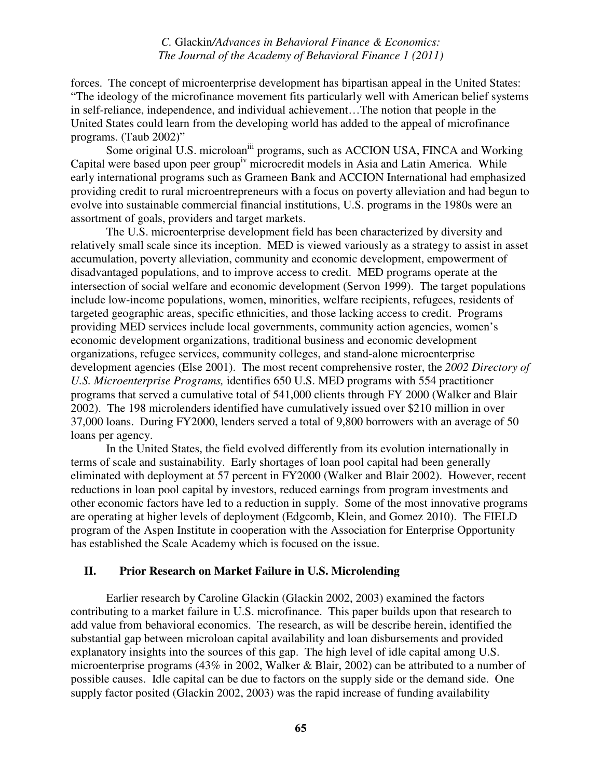forces. The concept of microenterprise development has bipartisan appeal in the United States: "The ideology of the microfinance movement fits particularly well with American belief systems in self-reliance, independence, and individual achievement…The notion that people in the United States could learn from the developing world has added to the appeal of microfinance programs. (Taub 2002)"

Some original U.S. microloan<sup>iii</sup> programs, such as ACCION USA, FINCA and Working Capital were based upon peer group<sup>iv</sup> microcredit models in Asia and Latin America. While early international programs such as Grameen Bank and ACCION International had emphasized providing credit to rural microentrepreneurs with a focus on poverty alleviation and had begun to evolve into sustainable commercial financial institutions, U.S. programs in the 1980s were an assortment of goals, providers and target markets.

The U.S. microenterprise development field has been characterized by diversity and relatively small scale since its inception. MED is viewed variously as a strategy to assist in asset accumulation, poverty alleviation, community and economic development, empowerment of disadvantaged populations, and to improve access to credit. MED programs operate at the intersection of social welfare and economic development (Servon 1999). The target populations include low-income populations, women, minorities, welfare recipients, refugees, residents of targeted geographic areas, specific ethnicities, and those lacking access to credit. Programs providing MED services include local governments, community action agencies, women's economic development organizations, traditional business and economic development organizations, refugee services, community colleges, and stand-alone microenterprise development agencies (Else 2001). The most recent comprehensive roster, the *2002 Directory of U.S. Microenterprise Programs,* identifies 650 U.S. MED programs with 554 practitioner programs that served a cumulative total of 541,000 clients through FY 2000 (Walker and Blair 2002). The 198 microlenders identified have cumulatively issued over \$210 million in over 37,000 loans. During FY2000, lenders served a total of 9,800 borrowers with an average of 50 loans per agency.

In the United States, the field evolved differently from its evolution internationally in terms of scale and sustainability. Early shortages of loan pool capital had been generally eliminated with deployment at 57 percent in FY2000 (Walker and Blair 2002). However, recent reductions in loan pool capital by investors, reduced earnings from program investments and other economic factors have led to a reduction in supply. Some of the most innovative programs are operating at higher levels of deployment (Edgcomb, Klein, and Gomez 2010). The FIELD program of the Aspen Institute in cooperation with the Association for Enterprise Opportunity has established the Scale Academy which is focused on the issue.

## **II. Prior Research on Market Failure in U.S. Microlending**

Earlier research by Caroline Glackin (Glackin 2002, 2003) examined the factors contributing to a market failure in U.S. microfinance. This paper builds upon that research to add value from behavioral economics. The research, as will be describe herein, identified the substantial gap between microloan capital availability and loan disbursements and provided explanatory insights into the sources of this gap. The high level of idle capital among U.S. microenterprise programs (43% in 2002, Walker & Blair, 2002) can be attributed to a number of possible causes. Idle capital can be due to factors on the supply side or the demand side. One supply factor posited (Glackin 2002, 2003) was the rapid increase of funding availability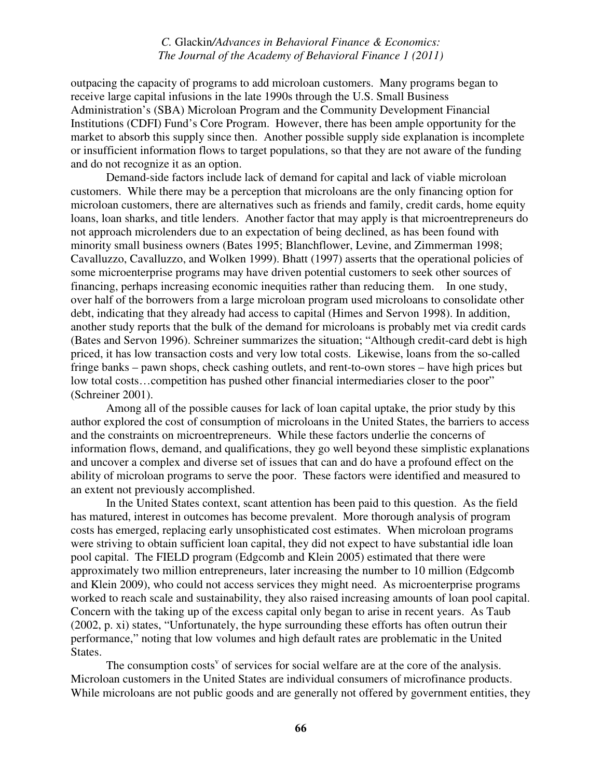outpacing the capacity of programs to add microloan customers. Many programs began to receive large capital infusions in the late 1990s through the U.S. Small Business Administration's (SBA) Microloan Program and the Community Development Financial Institutions (CDFI) Fund's Core Program. However, there has been ample opportunity for the market to absorb this supply since then. Another possible supply side explanation is incomplete or insufficient information flows to target populations, so that they are not aware of the funding and do not recognize it as an option.

Demand-side factors include lack of demand for capital and lack of viable microloan customers. While there may be a perception that microloans are the only financing option for microloan customers, there are alternatives such as friends and family, credit cards, home equity loans, loan sharks, and title lenders. Another factor that may apply is that microentrepreneurs do not approach microlenders due to an expectation of being declined, as has been found with minority small business owners (Bates 1995; Blanchflower, Levine, and Zimmerman 1998; Cavalluzzo, Cavalluzzo, and Wolken 1999). Bhatt (1997) asserts that the operational policies of some microenterprise programs may have driven potential customers to seek other sources of financing, perhaps increasing economic inequities rather than reducing them. In one study, over half of the borrowers from a large microloan program used microloans to consolidate other debt, indicating that they already had access to capital (Himes and Servon 1998). In addition, another study reports that the bulk of the demand for microloans is probably met via credit cards (Bates and Servon 1996). Schreiner summarizes the situation; "Although credit-card debt is high priced, it has low transaction costs and very low total costs. Likewise, loans from the so-called fringe banks – pawn shops, check cashing outlets, and rent-to-own stores – have high prices but low total costs...competition has pushed other financial intermediaries closer to the poor" (Schreiner 2001).

Among all of the possible causes for lack of loan capital uptake, the prior study by this author explored the cost of consumption of microloans in the United States, the barriers to access and the constraints on microentrepreneurs. While these factors underlie the concerns of information flows, demand, and qualifications, they go well beyond these simplistic explanations and uncover a complex and diverse set of issues that can and do have a profound effect on the ability of microloan programs to serve the poor. These factors were identified and measured to an extent not previously accomplished.

 In the United States context, scant attention has been paid to this question. As the field has matured, interest in outcomes has become prevalent. More thorough analysis of program costs has emerged, replacing early unsophisticated cost estimates. When microloan programs were striving to obtain sufficient loan capital, they did not expect to have substantial idle loan pool capital. The FIELD program (Edgcomb and Klein 2005) estimated that there were approximately two million entrepreneurs, later increasing the number to 10 million (Edgcomb and Klein 2009), who could not access services they might need. As microenterprise programs worked to reach scale and sustainability, they also raised increasing amounts of loan pool capital. Concern with the taking up of the excess capital only began to arise in recent years. As Taub (2002, p. xi) states, "Unfortunately, the hype surrounding these efforts has often outrun their performance," noting that low volumes and high default rates are problematic in the United States.

The consumption costs<sup>v</sup> of services for social welfare are at the core of the analysis. Microloan customers in the United States are individual consumers of microfinance products. While microloans are not public goods and are generally not offered by government entities, they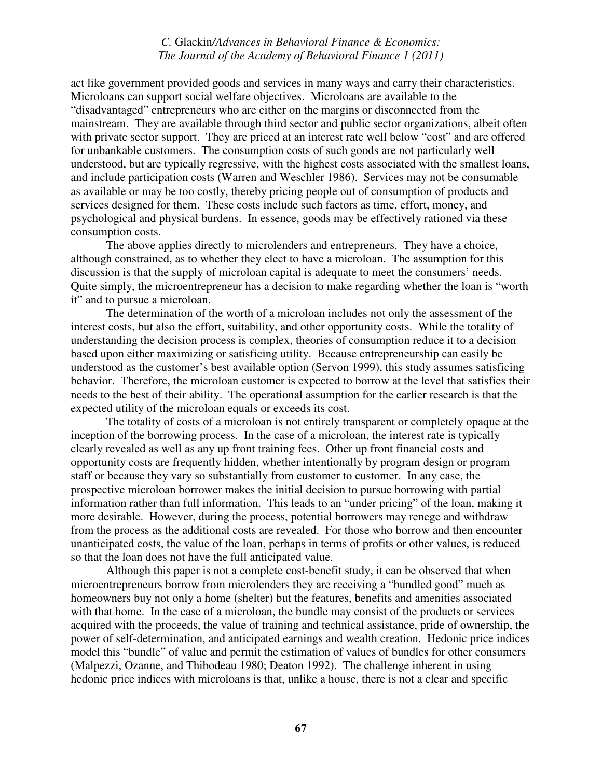act like government provided goods and services in many ways and carry their characteristics. Microloans can support social welfare objectives. Microloans are available to the "disadvantaged" entrepreneurs who are either on the margins or disconnected from the mainstream. They are available through third sector and public sector organizations, albeit often with private sector support. They are priced at an interest rate well below "cost" and are offered for unbankable customers. The consumption costs of such goods are not particularly well understood, but are typically regressive, with the highest costs associated with the smallest loans, and include participation costs (Warren and Weschler 1986). Services may not be consumable as available or may be too costly, thereby pricing people out of consumption of products and services designed for them. These costs include such factors as time, effort, money, and psychological and physical burdens. In essence, goods may be effectively rationed via these consumption costs.

The above applies directly to microlenders and entrepreneurs. They have a choice, although constrained, as to whether they elect to have a microloan. The assumption for this discussion is that the supply of microloan capital is adequate to meet the consumers' needs. Quite simply, the microentrepreneur has a decision to make regarding whether the loan is "worth it" and to pursue a microloan.

The determination of the worth of a microloan includes not only the assessment of the interest costs, but also the effort, suitability, and other opportunity costs. While the totality of understanding the decision process is complex, theories of consumption reduce it to a decision based upon either maximizing or satisficing utility. Because entrepreneurship can easily be understood as the customer's best available option (Servon 1999), this study assumes satisficing behavior. Therefore, the microloan customer is expected to borrow at the level that satisfies their needs to the best of their ability. The operational assumption for the earlier research is that the expected utility of the microloan equals or exceeds its cost.

The totality of costs of a microloan is not entirely transparent or completely opaque at the inception of the borrowing process. In the case of a microloan, the interest rate is typically clearly revealed as well as any up front training fees. Other up front financial costs and opportunity costs are frequently hidden, whether intentionally by program design or program staff or because they vary so substantially from customer to customer. In any case, the prospective microloan borrower makes the initial decision to pursue borrowing with partial information rather than full information. This leads to an "under pricing" of the loan, making it more desirable. However, during the process, potential borrowers may renege and withdraw from the process as the additional costs are revealed. For those who borrow and then encounter unanticipated costs, the value of the loan, perhaps in terms of profits or other values, is reduced so that the loan does not have the full anticipated value.

Although this paper is not a complete cost-benefit study, it can be observed that when microentrepreneurs borrow from microlenders they are receiving a "bundled good" much as homeowners buy not only a home (shelter) but the features, benefits and amenities associated with that home. In the case of a microloan, the bundle may consist of the products or services acquired with the proceeds, the value of training and technical assistance, pride of ownership, the power of self-determination, and anticipated earnings and wealth creation. Hedonic price indices model this "bundle" of value and permit the estimation of values of bundles for other consumers (Malpezzi, Ozanne, and Thibodeau 1980; Deaton 1992). The challenge inherent in using hedonic price indices with microloans is that, unlike a house, there is not a clear and specific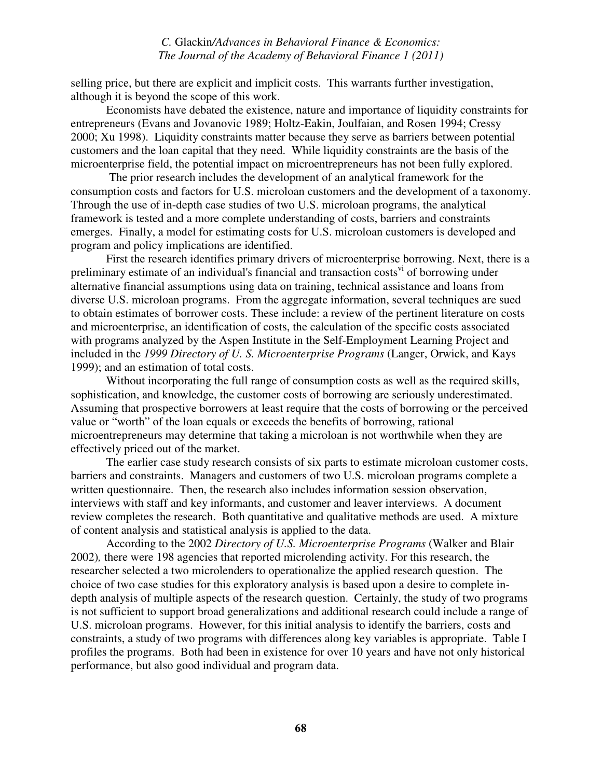selling price, but there are explicit and implicit costs. This warrants further investigation, although it is beyond the scope of this work.

 Economists have debated the existence, nature and importance of liquidity constraints for entrepreneurs (Evans and Jovanovic 1989; Holtz-Eakin, Joulfaian, and Rosen 1994; Cressy 2000; Xu 1998). Liquidity constraints matter because they serve as barriers between potential customers and the loan capital that they need. While liquidity constraints are the basis of the microenterprise field, the potential impact on microentrepreneurs has not been fully explored.

The prior research includes the development of an analytical framework for the consumption costs and factors for U.S. microloan customers and the development of a taxonomy. Through the use of in-depth case studies of two U.S. microloan programs, the analytical framework is tested and a more complete understanding of costs, barriers and constraints emerges. Finally, a model for estimating costs for U.S. microloan customers is developed and program and policy implications are identified.

 First the research identifies primary drivers of microenterprise borrowing. Next, there is a preliminary estimate of an individual's financial and transaction costs<sup>vi</sup> of borrowing under alternative financial assumptions using data on training, technical assistance and loans from diverse U.S. microloan programs. From the aggregate information, several techniques are sued to obtain estimates of borrower costs. These include: a review of the pertinent literature on costs and microenterprise, an identification of costs, the calculation of the specific costs associated with programs analyzed by the Aspen Institute in the Self-Employment Learning Project and included in the *1999 Directory of U. S. Microenterprise Programs* (Langer, Orwick, and Kays 1999); and an estimation of total costs.

Without incorporating the full range of consumption costs as well as the required skills, sophistication, and knowledge, the customer costs of borrowing are seriously underestimated. Assuming that prospective borrowers at least require that the costs of borrowing or the perceived value or "worth" of the loan equals or exceeds the benefits of borrowing, rational microentrepreneurs may determine that taking a microloan is not worthwhile when they are effectively priced out of the market.

The earlier case study research consists of six parts to estimate microloan customer costs, barriers and constraints. Managers and customers of two U.S. microloan programs complete a written questionnaire. Then, the research also includes information session observation, interviews with staff and key informants, and customer and leaver interviews. A document review completes the research. Both quantitative and qualitative methods are used. A mixture of content analysis and statistical analysis is applied to the data.

According to the 2002 *Directory of U.S. Microenterprise Programs* (Walker and Blair 2002)*,* there were 198 agencies that reported microlending activity. For this research, the researcher selected a two microlenders to operationalize the applied research question. The choice of two case studies for this exploratory analysis is based upon a desire to complete indepth analysis of multiple aspects of the research question. Certainly, the study of two programs is not sufficient to support broad generalizations and additional research could include a range of U.S. microloan programs. However, for this initial analysis to identify the barriers, costs and constraints, a study of two programs with differences along key variables is appropriate. Table I profiles the programs. Both had been in existence for over 10 years and have not only historical performance, but also good individual and program data.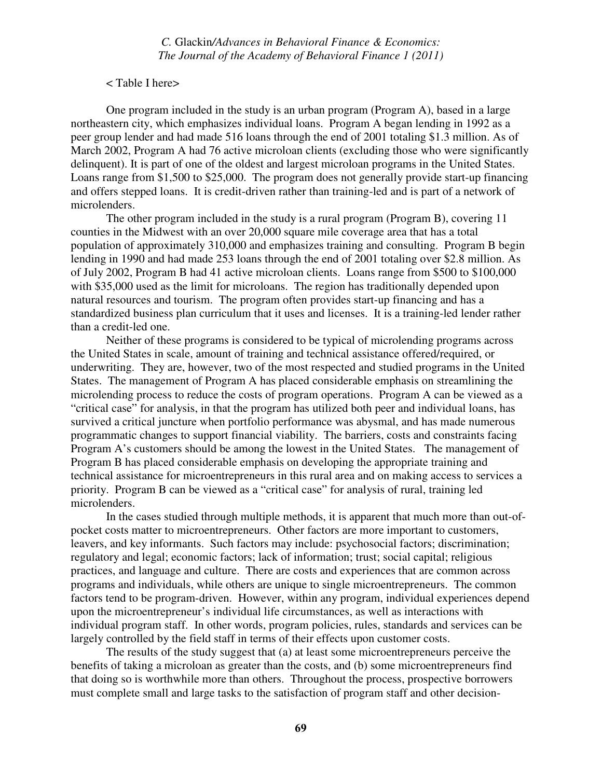#### < Table I here>

One program included in the study is an urban program (Program A), based in a large northeastern city, which emphasizes individual loans. Program A began lending in 1992 as a peer group lender and had made 516 loans through the end of 2001 totaling \$1.3 million. As of March 2002, Program A had 76 active microloan clients (excluding those who were significantly delinquent). It is part of one of the oldest and largest microloan programs in the United States. Loans range from \$1,500 to \$25,000. The program does not generally provide start-up financing and offers stepped loans. It is credit-driven rather than training-led and is part of a network of microlenders.

The other program included in the study is a rural program (Program B), covering 11 counties in the Midwest with an over 20,000 square mile coverage area that has a total population of approximately 310,000 and emphasizes training and consulting. Program B begin lending in 1990 and had made 253 loans through the end of 2001 totaling over \$2.8 million. As of July 2002, Program B had 41 active microloan clients. Loans range from \$500 to \$100,000 with \$35,000 used as the limit for microloans. The region has traditionally depended upon natural resources and tourism. The program often provides start-up financing and has a standardized business plan curriculum that it uses and licenses. It is a training-led lender rather than a credit-led one.

 Neither of these programs is considered to be typical of microlending programs across the United States in scale, amount of training and technical assistance offered/required, or underwriting. They are, however, two of the most respected and studied programs in the United States. The management of Program A has placed considerable emphasis on streamlining the microlending process to reduce the costs of program operations. Program A can be viewed as a "critical case" for analysis, in that the program has utilized both peer and individual loans, has survived a critical juncture when portfolio performance was abysmal, and has made numerous programmatic changes to support financial viability. The barriers, costs and constraints facing Program A's customers should be among the lowest in the United States. The management of Program B has placed considerable emphasis on developing the appropriate training and technical assistance for microentrepreneurs in this rural area and on making access to services a priority. Program B can be viewed as a "critical case" for analysis of rural, training led microlenders.

In the cases studied through multiple methods, it is apparent that much more than out-ofpocket costs matter to microentrepreneurs. Other factors are more important to customers, leavers, and key informants. Such factors may include: psychosocial factors; discrimination; regulatory and legal; economic factors; lack of information; trust; social capital; religious practices, and language and culture. There are costs and experiences that are common across programs and individuals, while others are unique to single microentrepreneurs. The common factors tend to be program-driven. However, within any program, individual experiences depend upon the microentrepreneur's individual life circumstances, as well as interactions with individual program staff. In other words, program policies, rules, standards and services can be largely controlled by the field staff in terms of their effects upon customer costs.

The results of the study suggest that (a) at least some microentrepreneurs perceive the benefits of taking a microloan as greater than the costs, and (b) some microentrepreneurs find that doing so is worthwhile more than others. Throughout the process, prospective borrowers must complete small and large tasks to the satisfaction of program staff and other decision-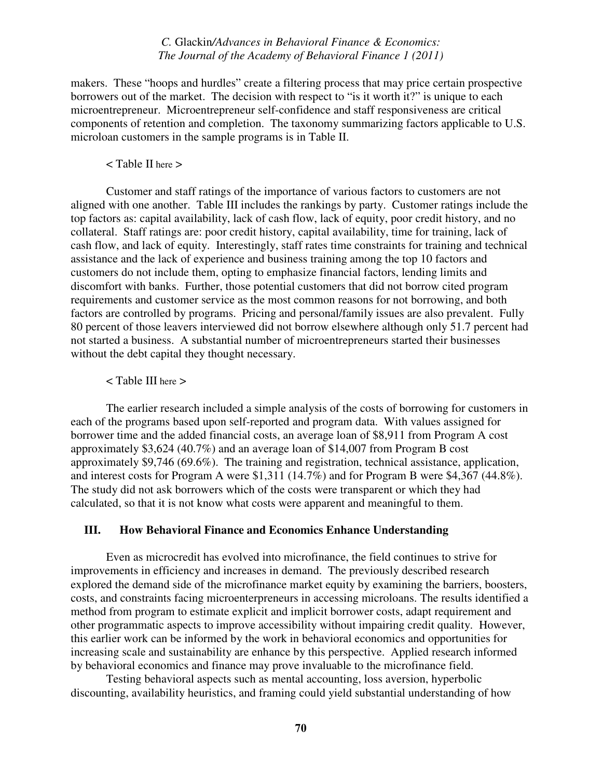makers. These "hoops and hurdles" create a filtering process that may price certain prospective borrowers out of the market. The decision with respect to "is it worth it?" is unique to each microentrepreneur. Microentrepreneur self-confidence and staff responsiveness are critical components of retention and completion. The taxonomy summarizing factors applicable to U.S. microloan customers in the sample programs is in Table II.

#### < Table II here >

Customer and staff ratings of the importance of various factors to customers are not aligned with one another. Table III includes the rankings by party. Customer ratings include the top factors as: capital availability, lack of cash flow, lack of equity, poor credit history, and no collateral. Staff ratings are: poor credit history, capital availability, time for training, lack of cash flow, and lack of equity. Interestingly, staff rates time constraints for training and technical assistance and the lack of experience and business training among the top 10 factors and customers do not include them, opting to emphasize financial factors, lending limits and discomfort with banks. Further, those potential customers that did not borrow cited program requirements and customer service as the most common reasons for not borrowing, and both factors are controlled by programs. Pricing and personal/family issues are also prevalent. Fully 80 percent of those leavers interviewed did not borrow elsewhere although only 51.7 percent had not started a business. A substantial number of microentrepreneurs started their businesses without the debt capital they thought necessary.

#### < Table III here >

The earlier research included a simple analysis of the costs of borrowing for customers in each of the programs based upon self-reported and program data. With values assigned for borrower time and the added financial costs, an average loan of \$8,911 from Program A cost approximately \$3,624 (40.7%) and an average loan of \$14,007 from Program B cost approximately \$9,746 (69.6%). The training and registration, technical assistance, application, and interest costs for Program A were \$1,311 (14.7%) and for Program B were \$4,367 (44.8%). The study did not ask borrowers which of the costs were transparent or which they had calculated, so that it is not know what costs were apparent and meaningful to them.

#### **III. How Behavioral Finance and Economics Enhance Understanding**

Even as microcredit has evolved into microfinance, the field continues to strive for improvements in efficiency and increases in demand. The previously described research explored the demand side of the microfinance market equity by examining the barriers, boosters, costs, and constraints facing microenterpreneurs in accessing microloans. The results identified a method from program to estimate explicit and implicit borrower costs, adapt requirement and other programmatic aspects to improve accessibility without impairing credit quality. However, this earlier work can be informed by the work in behavioral economics and opportunities for increasing scale and sustainability are enhance by this perspective. Applied research informed by behavioral economics and finance may prove invaluable to the microfinance field.

Testing behavioral aspects such as mental accounting, loss aversion, hyperbolic discounting, availability heuristics, and framing could yield substantial understanding of how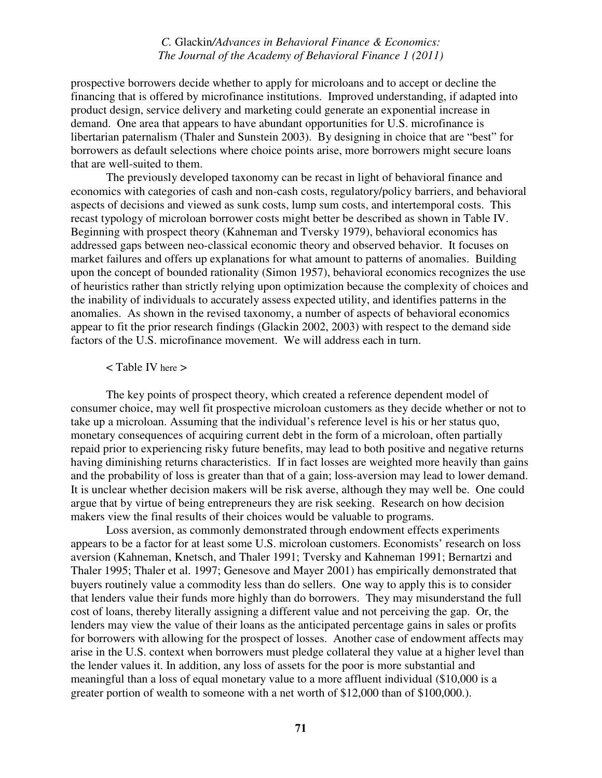prospective borrowers decide whether to apply for microloans and to accept or decline the financing that is offered by microfinance institutions. Improved understanding, if adapted into product design, service delivery and marketing could generate an exponential increase in demand. One area that appears to have abundant opportunities for U.S. microfinance is libertarian paternalism (Thaler and Sunstein 2003). By designing in choice that are "best" for borrowers as default selections where choice points arise, more borrowers might secure loans that are well-suited to them.

The previously developed taxonomy can be recast in light of behavioral finance and economics with categories of cash and non-cash costs, regulatory/policy barriers, and behavioral aspects of decisions and viewed as sunk costs, lump sum costs, and intertemporal costs. This recast typology of microloan borrower costs might better be described as shown in Table IV. Beginning with prospect theory (Kahneman and Tversky 1979), behavioral economics has addressed gaps between neo-classical economic theory and observed behavior. It focuses on market failures and offers up explanations for what amount to patterns of anomalies. Building upon the concept of bounded rationality (Simon 1957), behavioral economics recognizes the use of heuristics rather than strictly relying upon optimization because the complexity of choices and the inability of individuals to accurately assess expected utility, and identifies patterns in the anomalies. As shown in the revised taxonomy, a number of aspects of behavioral economics appear to fit the prior research findings (Glackin 2002, 2003) with respect to the demand side factors of the U.S. microfinance movement. We will address each in turn.

## < Table IV here >

The key points of prospect theory, which created a reference dependent model of consumer choice, may well fit prospective microloan customers as they decide whether or not to take up a microloan. Assuming that the individual's reference level is his or her status quo, monetary consequences of acquiring current debt in the form of a microloan, often partially repaid prior to experiencing risky future benefits, may lead to both positive and negative returns having diminishing returns characteristics. If in fact losses are weighted more heavily than gains and the probability of loss is greater than that of a gain; loss-aversion may lead to lower demand. It is unclear whether decision makers will be risk averse, although they may well be. One could argue that by virtue of being entrepreneurs they are risk seeking. Research on how decision makers view the final results of their choices would be valuable to programs.

 Loss aversion, as commonly demonstrated through endowment effects experiments appears to be a factor for at least some U.S. microloan customers. Economists' research on loss aversion (Kahneman, Knetsch, and Thaler 1991; Tversky and Kahneman 1991; Bernartzi and Thaler 1995; Thaler et al. 1997; Genesove and Mayer 2001) has empirically demonstrated that buyers routinely value a commodity less than do sellers. One way to apply this is to consider that lenders value their funds more highly than do borrowers. They may misunderstand the full cost of loans, thereby literally assigning a different value and not perceiving the gap. Or, the lenders may view the value of their loans as the anticipated percentage gains in sales or profits for borrowers with allowing for the prospect of losses. Another case of endowment affects may arise in the U.S. context when borrowers must pledge collateral they value at a higher level than the lender values it. In addition, any loss of assets for the poor is more substantial and meaningful than a loss of equal monetary value to a more affluent individual (\$10,000 is a greater portion of wealth to someone with a net worth of \$12,000 than of \$100,000.).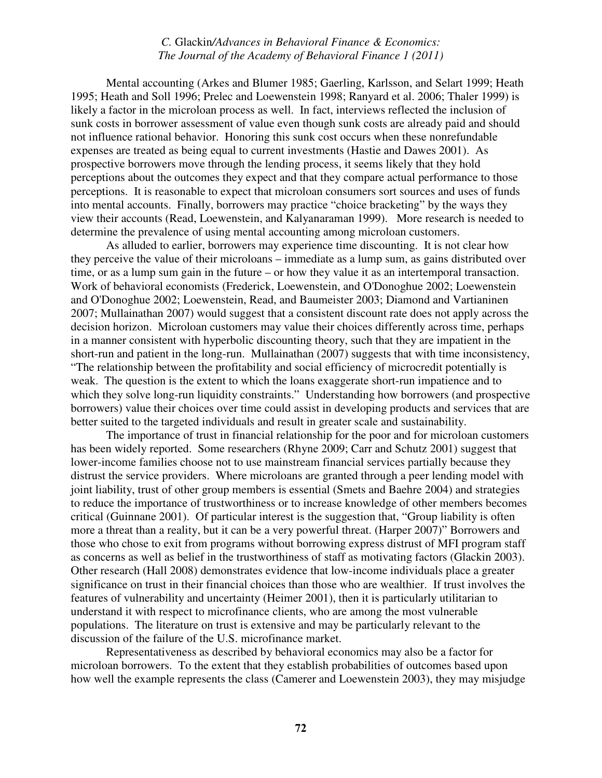Mental accounting (Arkes and Blumer 1985; Gaerling, Karlsson, and Selart 1999; Heath 1995; Heath and Soll 1996; Prelec and Loewenstein 1998; Ranyard et al. 2006; Thaler 1999) is likely a factor in the microloan process as well. In fact, interviews reflected the inclusion of sunk costs in borrower assessment of value even though sunk costs are already paid and should not influence rational behavior. Honoring this sunk cost occurs when these nonrefundable expenses are treated as being equal to current investments (Hastie and Dawes 2001). As prospective borrowers move through the lending process, it seems likely that they hold perceptions about the outcomes they expect and that they compare actual performance to those perceptions. It is reasonable to expect that microloan consumers sort sources and uses of funds into mental accounts. Finally, borrowers may practice "choice bracketing" by the ways they view their accounts (Read, Loewenstein, and Kalyanaraman 1999). More research is needed to determine the prevalence of using mental accounting among microloan customers.

 As alluded to earlier, borrowers may experience time discounting. It is not clear how they perceive the value of their microloans – immediate as a lump sum, as gains distributed over time, or as a lump sum gain in the future – or how they value it as an intertemporal transaction. Work of behavioral economists (Frederick, Loewenstein, and O'Donoghue 2002; Loewenstein and O'Donoghue 2002; Loewenstein, Read, and Baumeister 2003; Diamond and Vartianinen 2007; Mullainathan 2007) would suggest that a consistent discount rate does not apply across the decision horizon. Microloan customers may value their choices differently across time, perhaps in a manner consistent with hyperbolic discounting theory, such that they are impatient in the short-run and patient in the long-run. Mullainathan (2007) suggests that with time inconsistency, "The relationship between the profitability and social efficiency of microcredit potentially is weak. The question is the extent to which the loans exaggerate short-run impatience and to which they solve long-run liquidity constraints." Understanding how borrowers (and prospective borrowers) value their choices over time could assist in developing products and services that are better suited to the targeted individuals and result in greater scale and sustainability.

The importance of trust in financial relationship for the poor and for microloan customers has been widely reported. Some researchers (Rhyne 2009; Carr and Schutz 2001) suggest that lower-income families choose not to use mainstream financial services partially because they distrust the service providers. Where microloans are granted through a peer lending model with joint liability, trust of other group members is essential (Smets and Baehre 2004) and strategies to reduce the importance of trustworthiness or to increase knowledge of other members becomes critical (Guinnane 2001). Of particular interest is the suggestion that, "Group liability is often more a threat than a reality, but it can be a very powerful threat. (Harper 2007)" Borrowers and those who chose to exit from programs without borrowing express distrust of MFI program staff as concerns as well as belief in the trustworthiness of staff as motivating factors (Glackin 2003). Other research (Hall 2008) demonstrates evidence that low-income individuals place a greater significance on trust in their financial choices than those who are wealthier. If trust involves the features of vulnerability and uncertainty (Heimer 2001), then it is particularly utilitarian to understand it with respect to microfinance clients, who are among the most vulnerable populations. The literature on trust is extensive and may be particularly relevant to the discussion of the failure of the U.S. microfinance market.

 Representativeness as described by behavioral economics may also be a factor for microloan borrowers. To the extent that they establish probabilities of outcomes based upon how well the example represents the class (Camerer and Loewenstein 2003), they may misjudge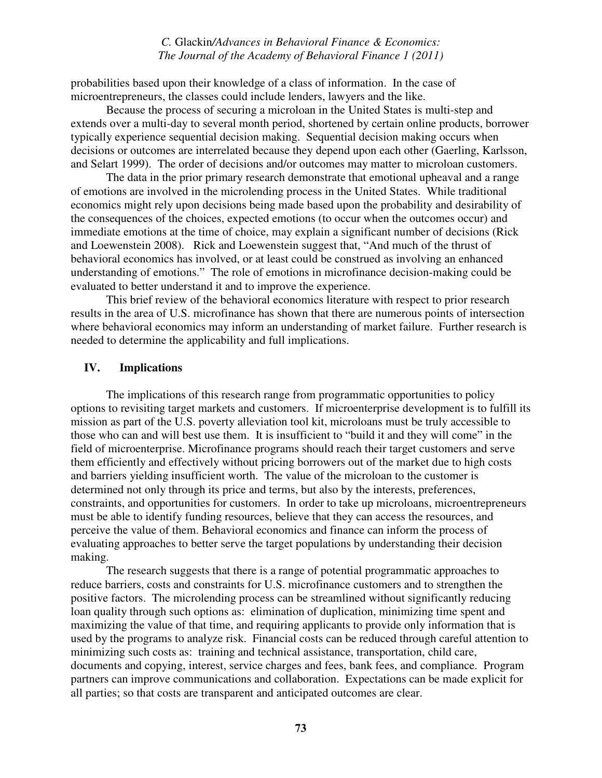probabilities based upon their knowledge of a class of information. In the case of microentrepreneurs, the classes could include lenders, lawyers and the like.

 Because the process of securing a microloan in the United States is multi-step and extends over a multi-day to several month period, shortened by certain online products, borrower typically experience sequential decision making. Sequential decision making occurs when decisions or outcomes are interrelated because they depend upon each other (Gaerling, Karlsson, and Selart 1999). The order of decisions and/or outcomes may matter to microloan customers.

 The data in the prior primary research demonstrate that emotional upheaval and a range of emotions are involved in the microlending process in the United States. While traditional economics might rely upon decisions being made based upon the probability and desirability of the consequences of the choices, expected emotions (to occur when the outcomes occur) and immediate emotions at the time of choice, may explain a significant number of decisions (Rick and Loewenstein 2008). Rick and Loewenstein suggest that, "And much of the thrust of behavioral economics has involved, or at least could be construed as involving an enhanced understanding of emotions." The role of emotions in microfinance decision-making could be evaluated to better understand it and to improve the experience.

 This brief review of the behavioral economics literature with respect to prior research results in the area of U.S. microfinance has shown that there are numerous points of intersection where behavioral economics may inform an understanding of market failure. Further research is needed to determine the applicability and full implications.

## **IV. Implications**

The implications of this research range from programmatic opportunities to policy options to revisiting target markets and customers. If microenterprise development is to fulfill its mission as part of the U.S. poverty alleviation tool kit, microloans must be truly accessible to those who can and will best use them. It is insufficient to "build it and they will come" in the field of microenterprise. Microfinance programs should reach their target customers and serve them efficiently and effectively without pricing borrowers out of the market due to high costs and barriers yielding insufficient worth. The value of the microloan to the customer is determined not only through its price and terms, but also by the interests, preferences, constraints, and opportunities for customers. In order to take up microloans, microentrepreneurs must be able to identify funding resources, believe that they can access the resources, and perceive the value of them. Behavioral economics and finance can inform the process of evaluating approaches to better serve the target populations by understanding their decision making.

The research suggests that there is a range of potential programmatic approaches to reduce barriers, costs and constraints for U.S. microfinance customers and to strengthen the positive factors. The microlending process can be streamlined without significantly reducing loan quality through such options as: elimination of duplication, minimizing time spent and maximizing the value of that time, and requiring applicants to provide only information that is used by the programs to analyze risk. Financial costs can be reduced through careful attention to minimizing such costs as: training and technical assistance, transportation, child care, documents and copying, interest, service charges and fees, bank fees, and compliance. Program partners can improve communications and collaboration. Expectations can be made explicit for all parties; so that costs are transparent and anticipated outcomes are clear.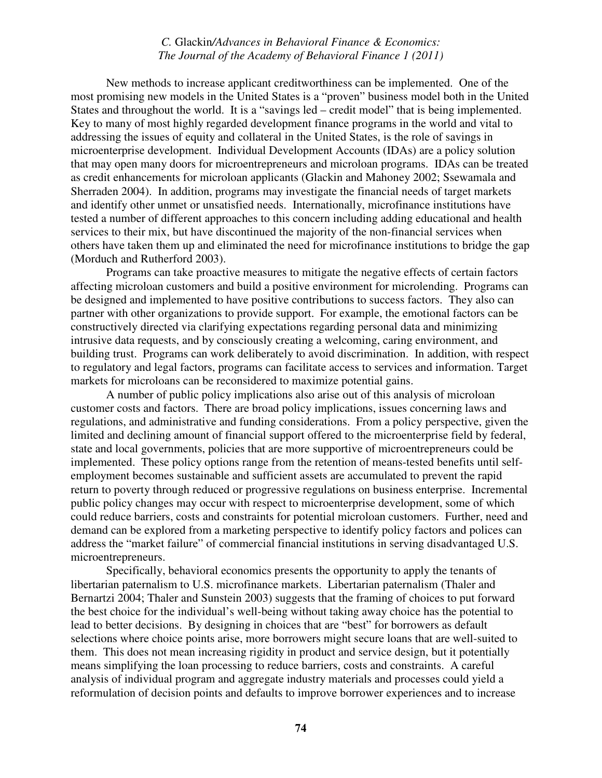New methods to increase applicant creditworthiness can be implemented. One of the most promising new models in the United States is a "proven" business model both in the United States and throughout the world. It is a "savings led – credit model" that is being implemented. Key to many of most highly regarded development finance programs in the world and vital to addressing the issues of equity and collateral in the United States, is the role of savings in microenterprise development. Individual Development Accounts (IDAs) are a policy solution that may open many doors for microentrepreneurs and microloan programs. IDAs can be treated as credit enhancements for microloan applicants (Glackin and Mahoney 2002; Ssewamala and Sherraden 2004). In addition, programs may investigate the financial needs of target markets and identify other unmet or unsatisfied needs. Internationally, microfinance institutions have tested a number of different approaches to this concern including adding educational and health services to their mix, but have discontinued the majority of the non-financial services when others have taken them up and eliminated the need for microfinance institutions to bridge the gap (Morduch and Rutherford 2003).

Programs can take proactive measures to mitigate the negative effects of certain factors affecting microloan customers and build a positive environment for microlending. Programs can be designed and implemented to have positive contributions to success factors. They also can partner with other organizations to provide support. For example, the emotional factors can be constructively directed via clarifying expectations regarding personal data and minimizing intrusive data requests, and by consciously creating a welcoming, caring environment, and building trust. Programs can work deliberately to avoid discrimination. In addition, with respect to regulatory and legal factors, programs can facilitate access to services and information. Target markets for microloans can be reconsidered to maximize potential gains.

 A number of public policy implications also arise out of this analysis of microloan customer costs and factors. There are broad policy implications, issues concerning laws and regulations, and administrative and funding considerations. From a policy perspective, given the limited and declining amount of financial support offered to the microenterprise field by federal, state and local governments, policies that are more supportive of microentrepreneurs could be implemented. These policy options range from the retention of means-tested benefits until selfemployment becomes sustainable and sufficient assets are accumulated to prevent the rapid return to poverty through reduced or progressive regulations on business enterprise. Incremental public policy changes may occur with respect to microenterprise development, some of which could reduce barriers, costs and constraints for potential microloan customers. Further, need and demand can be explored from a marketing perspective to identify policy factors and polices can address the "market failure" of commercial financial institutions in serving disadvantaged U.S. microentrepreneurs.

 Specifically, behavioral economics presents the opportunity to apply the tenants of libertarian paternalism to U.S. microfinance markets. Libertarian paternalism (Thaler and Bernartzi 2004; Thaler and Sunstein 2003) suggests that the framing of choices to put forward the best choice for the individual's well-being without taking away choice has the potential to lead to better decisions. By designing in choices that are "best" for borrowers as default selections where choice points arise, more borrowers might secure loans that are well-suited to them. This does not mean increasing rigidity in product and service design, but it potentially means simplifying the loan processing to reduce barriers, costs and constraints. A careful analysis of individual program and aggregate industry materials and processes could yield a reformulation of decision points and defaults to improve borrower experiences and to increase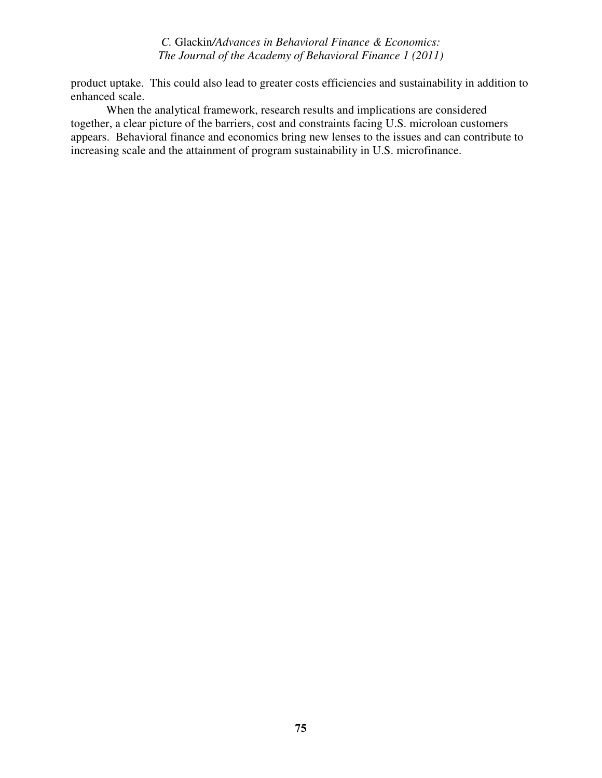product uptake. This could also lead to greater costs efficiencies and sustainability in addition to enhanced scale.

 When the analytical framework, research results and implications are considered together, a clear picture of the barriers, cost and constraints facing U.S. microloan customers appears. Behavioral finance and economics bring new lenses to the issues and can contribute to increasing scale and the attainment of program sustainability in U.S. microfinance.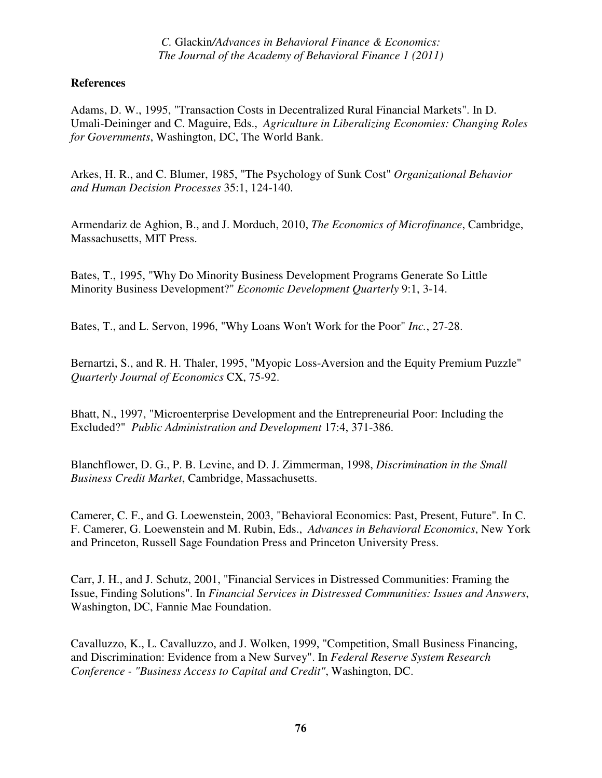## **References**

Adams, D. W., 1995, "Transaction Costs in Decentralized Rural Financial Markets". In D. Umali-Deininger and C. Maguire, Eds., *Agriculture in Liberalizing Economies: Changing Roles for Governments*, Washington, DC, The World Bank.

Arkes, H. R., and C. Blumer, 1985, "The Psychology of Sunk Cost" *Organizational Behavior and Human Decision Processes* 35:1, 124-140.

Armendariz de Aghion, B., and J. Morduch, 2010, *The Economics of Microfinance*, Cambridge, Massachusetts, MIT Press.

Bates, T., 1995, "Why Do Minority Business Development Programs Generate So Little Minority Business Development?" *Economic Development Quarterly* 9:1, 3-14.

Bates, T., and L. Servon, 1996, "Why Loans Won't Work for the Poor" *Inc.*, 27-28.

Bernartzi, S., and R. H. Thaler, 1995, "Myopic Loss-Aversion and the Equity Premium Puzzle" *Quarterly Journal of Economics* CX, 75-92.

Bhatt, N., 1997, "Microenterprise Development and the Entrepreneurial Poor: Including the Excluded?" *Public Administration and Development* 17:4, 371-386.

Blanchflower, D. G., P. B. Levine, and D. J. Zimmerman, 1998, *Discrimination in the Small Business Credit Market*, Cambridge, Massachusetts.

Camerer, C. F., and G. Loewenstein, 2003, "Behavioral Economics: Past, Present, Future". In C. F. Camerer, G. Loewenstein and M. Rubin, Eds., *Advances in Behavioral Economics*, New York and Princeton, Russell Sage Foundation Press and Princeton University Press.

Carr, J. H., and J. Schutz, 2001, "Financial Services in Distressed Communities: Framing the Issue, Finding Solutions". In *Financial Services in Distressed Communities: Issues and Answers*, Washington, DC, Fannie Mae Foundation.

Cavalluzzo, K., L. Cavalluzzo, and J. Wolken, 1999, "Competition, Small Business Financing, and Discrimination: Evidence from a New Survey". In *Federal Reserve System Research Conference - "Business Access to Capital and Credit"*, Washington, DC.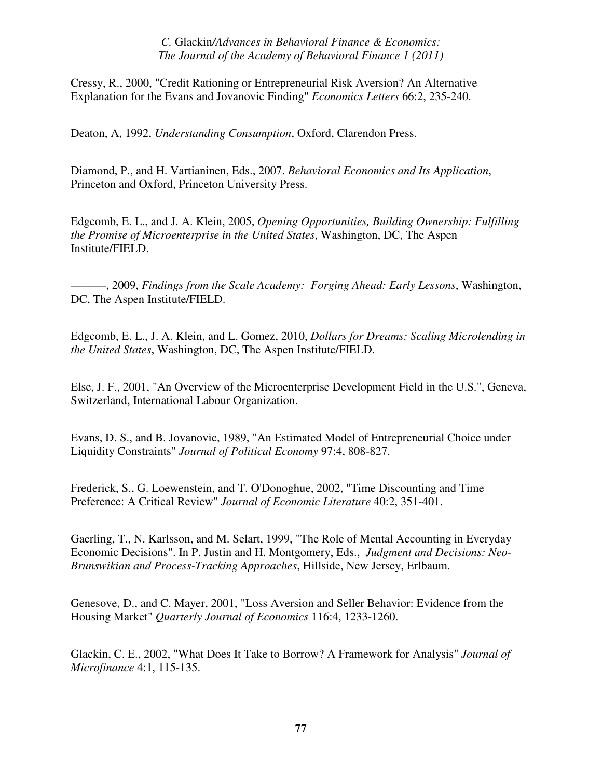Cressy, R., 2000, "Credit Rationing or Entrepreneurial Risk Aversion? An Alternative Explanation for the Evans and Jovanovic Finding" *Economics Letters* 66:2, 235-240.

Deaton, A, 1992, *Understanding Consumption*, Oxford, Clarendon Press.

Diamond, P., and H. Vartianinen, Eds., 2007. *Behavioral Economics and Its Application*, Princeton and Oxford, Princeton University Press.

Edgcomb, E. L., and J. A. Klein, 2005, *Opening Opportunities, Building Ownership: Fulfilling the Promise of Microenterprise in the United States*, Washington, DC, The Aspen Institute/FIELD.

———, 2009, *Findings from the Scale Academy: Forging Ahead: Early Lessons*, Washington, DC, The Aspen Institute/FIELD.

Edgcomb, E. L., J. A. Klein, and L. Gomez, 2010, *Dollars for Dreams: Scaling Microlending in the United States*, Washington, DC, The Aspen Institute/FIELD.

Else, J. F., 2001, "An Overview of the Microenterprise Development Field in the U.S.", Geneva, Switzerland, International Labour Organization.

Evans, D. S., and B. Jovanovic, 1989, "An Estimated Model of Entrepreneurial Choice under Liquidity Constraints" *Journal of Political Economy* 97:4, 808-827.

Frederick, S., G. Loewenstein, and T. O'Donoghue, 2002, "Time Discounting and Time Preference: A Critical Review" *Journal of Economic Literature* 40:2, 351-401.

Gaerling, T., N. Karlsson, and M. Selart, 1999, "The Role of Mental Accounting in Everyday Economic Decisions". In P. Justin and H. Montgomery, Eds., *Judgment and Decisions: Neo-Brunswikian and Process-Tracking Approaches*, Hillside, New Jersey, Erlbaum.

Genesove, D., and C. Mayer, 2001, "Loss Aversion and Seller Behavior: Evidence from the Housing Market" *Quarterly Journal of Economics* 116:4, 1233-1260.

Glackin, C. E., 2002, "What Does It Take to Borrow? A Framework for Analysis" *Journal of Microfinance* 4:1, 115-135.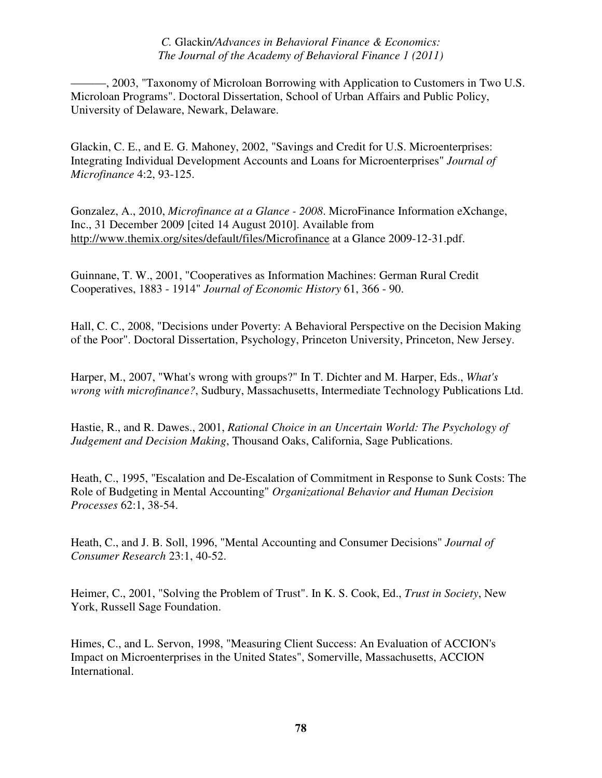———, 2003, "Taxonomy of Microloan Borrowing with Application to Customers in Two U.S. Microloan Programs". Doctoral Dissertation, School of Urban Affairs and Public Policy, University of Delaware, Newark, Delaware.

Glackin, C. E., and E. G. Mahoney, 2002, "Savings and Credit for U.S. Microenterprises: Integrating Individual Development Accounts and Loans for Microenterprises" *Journal of Microfinance* 4:2, 93-125.

Gonzalez, A., 2010, *Microfinance at a Glance - 2008*. MicroFinance Information eXchange, Inc., 31 December 2009 [cited 14 August 2010]. Available from http://www.themix.org/sites/default/files/Microfinance at a Glance 2009-12-31.pdf.

Guinnane, T. W., 2001, "Cooperatives as Information Machines: German Rural Credit Cooperatives, 1883 - 1914" *Journal of Economic History* 61, 366 - 90.

Hall, C. C., 2008, "Decisions under Poverty: A Behavioral Perspective on the Decision Making of the Poor". Doctoral Dissertation, Psychology, Princeton University, Princeton, New Jersey.

Harper, M., 2007, "What's wrong with groups?" In T. Dichter and M. Harper, Eds., *What's wrong with microfinance?*, Sudbury, Massachusetts, Intermediate Technology Publications Ltd.

Hastie, R., and R. Dawes., 2001, *Rational Choice in an Uncertain World: The Psychology of Judgement and Decision Making*, Thousand Oaks, California, Sage Publications.

Heath, C., 1995, "Escalation and De-Escalation of Commitment in Response to Sunk Costs: The Role of Budgeting in Mental Accounting" *Organizational Behavior and Human Decision Processes* 62:1, 38-54.

Heath, C., and J. B. Soll, 1996, "Mental Accounting and Consumer Decisions" *Journal of Consumer Research* 23:1, 40-52.

Heimer, C., 2001, "Solving the Problem of Trust". In K. S. Cook, Ed., *Trust in Society*, New York, Russell Sage Foundation.

Himes, C., and L. Servon, 1998, "Measuring Client Success: An Evaluation of ACCION's Impact on Microenterprises in the United States", Somerville, Massachusetts, ACCION International.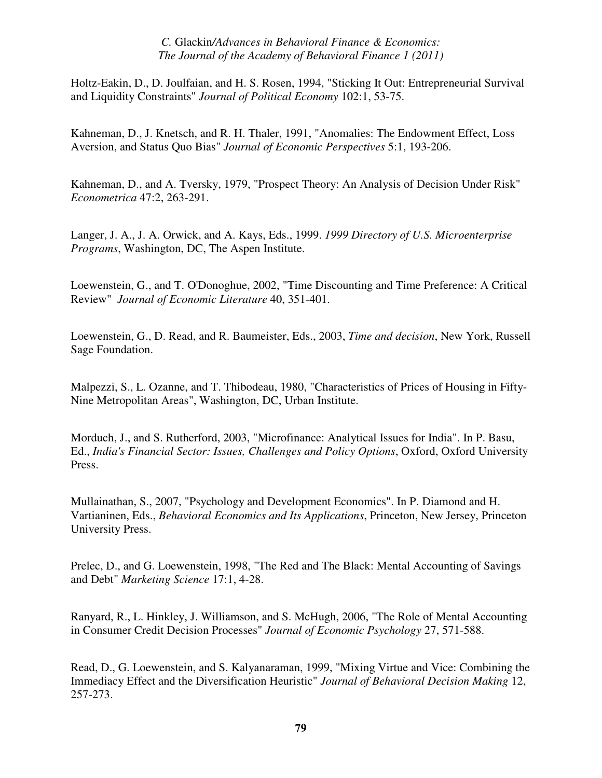Holtz-Eakin, D., D. Joulfaian, and H. S. Rosen, 1994, "Sticking It Out: Entrepreneurial Survival and Liquidity Constraints" *Journal of Political Economy* 102:1, 53-75.

Kahneman, D., J. Knetsch, and R. H. Thaler, 1991, "Anomalies: The Endowment Effect, Loss Aversion, and Status Quo Bias" *Journal of Economic Perspectives* 5:1, 193-206.

Kahneman, D., and A. Tversky, 1979, "Prospect Theory: An Analysis of Decision Under Risk" *Econometrica* 47:2, 263-291.

Langer, J. A., J. A. Orwick, and A. Kays, Eds., 1999. *1999 Directory of U.S. Microenterprise Programs*, Washington, DC, The Aspen Institute.

Loewenstein, G., and T. O'Donoghue, 2002, "Time Discounting and Time Preference: A Critical Review" *Journal of Economic Literature* 40, 351-401.

Loewenstein, G., D. Read, and R. Baumeister, Eds., 2003, *Time and decision*, New York, Russell Sage Foundation.

Malpezzi, S., L. Ozanne, and T. Thibodeau, 1980, "Characteristics of Prices of Housing in Fifty-Nine Metropolitan Areas", Washington, DC, Urban Institute.

Morduch, J., and S. Rutherford, 2003, "Microfinance: Analytical Issues for India". In P. Basu, Ed., *India's Financial Sector: Issues, Challenges and Policy Options*, Oxford, Oxford University Press.

Mullainathan, S., 2007, "Psychology and Development Economics". In P. Diamond and H. Vartianinen, Eds., *Behavioral Economics and Its Applications*, Princeton, New Jersey, Princeton University Press.

Prelec, D., and G. Loewenstein, 1998, "The Red and The Black: Mental Accounting of Savings and Debt" *Marketing Science* 17:1, 4-28.

Ranyard, R., L. Hinkley, J. Williamson, and S. McHugh, 2006, "The Role of Mental Accounting in Consumer Credit Decision Processes" *Journal of Economic Psychology* 27, 571-588.

Read, D., G. Loewenstein, and S. Kalyanaraman, 1999, "Mixing Virtue and Vice: Combining the Immediacy Effect and the Diversification Heuristic" *Journal of Behavioral Decision Making* 12, 257-273.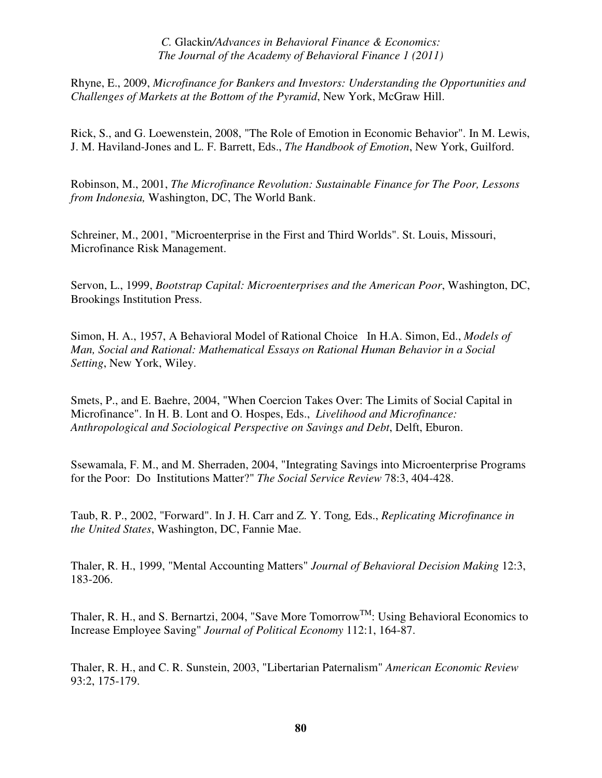Rhyne, E., 2009, *Microfinance for Bankers and Investors: Understanding the Opportunities and Challenges of Markets at the Bottom of the Pyramid*, New York, McGraw Hill.

Rick, S., and G. Loewenstein, 2008, "The Role of Emotion in Economic Behavior". In M. Lewis, J. M. Haviland-Jones and L. F. Barrett, Eds., *The Handbook of Emotion*, New York, Guilford.

Robinson, M., 2001, *The Microfinance Revolution: Sustainable Finance for The Poor, Lessons from Indonesia,* Washington, DC, The World Bank.

Schreiner, M., 2001, "Microenterprise in the First and Third Worlds". St. Louis, Missouri, Microfinance Risk Management.

Servon, L., 1999, *Bootstrap Capital: Microenterprises and the American Poor*, Washington, DC, Brookings Institution Press.

Simon, H. A., 1957, A Behavioral Model of Rational Choice In H.A. Simon, Ed., *Models of Man, Social and Rational: Mathematical Essays on Rational Human Behavior in a Social Setting*, New York, Wiley.

Smets, P., and E. Baehre, 2004, "When Coercion Takes Over: The Limits of Social Capital in Microfinance". In H. B. Lont and O. Hospes, Eds., *Livelihood and Microfinance: Anthropological and Sociological Perspective on Savings and Debt*, Delft, Eburon.

Ssewamala, F. M., and M. Sherraden, 2004, "Integrating Savings into Microenterprise Programs for the Poor: Do Institutions Matter?" *The Social Service Review* 78:3, 404-428.

Taub, R. P., 2002, "Forward". In J. H. Carr and Z. Y. Tong*,* Eds., *Replicating Microfinance in the United States*, Washington, DC, Fannie Mae.

Thaler, R. H., 1999, "Mental Accounting Matters" *Journal of Behavioral Decision Making* 12:3, 183-206.

Thaler, R. H., and S. Bernartzi, 2004, "Save More Tomorrow<sup>TM</sup>: Using Behavioral Economics to Increase Employee Saving" *Journal of Political Economy* 112:1, 164-87.

Thaler, R. H., and C. R. Sunstein, 2003, "Libertarian Paternalism" *American Economic Review* 93:2, 175-179.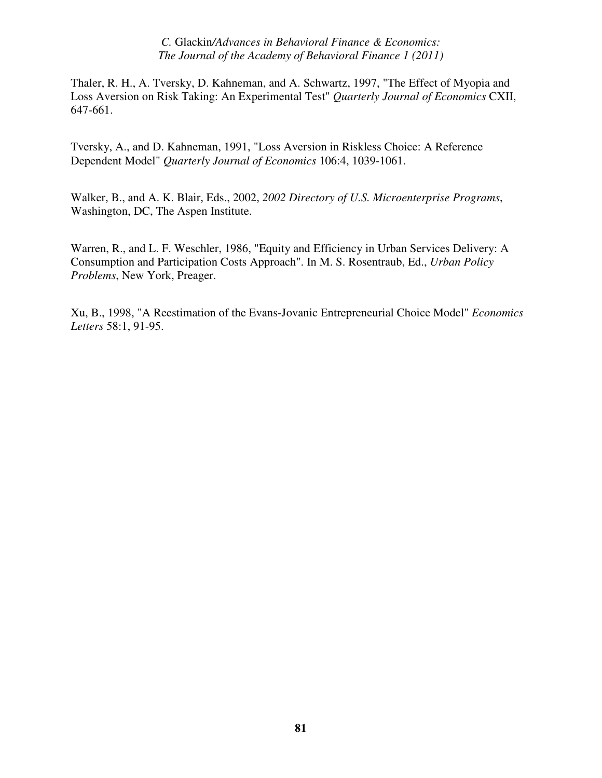Thaler, R. H., A. Tversky, D. Kahneman, and A. Schwartz, 1997, "The Effect of Myopia and Loss Aversion on Risk Taking: An Experimental Test" *Quarterly Journal of Economics* CXII, 647-661.

Tversky, A., and D. Kahneman, 1991, "Loss Aversion in Riskless Choice: A Reference Dependent Model" *Quarterly Journal of Economics* 106:4, 1039-1061.

Walker, B., and A. K. Blair, Eds., 2002, *2002 Directory of U.S. Microenterprise Programs*, Washington, DC, The Aspen Institute.

Warren, R., and L. F. Weschler, 1986, "Equity and Efficiency in Urban Services Delivery: A Consumption and Participation Costs Approach". In M. S. Rosentraub, Ed., *Urban Policy Problems*, New York, Preager.

Xu, B., 1998, "A Reestimation of the Evans-Jovanic Entrepreneurial Choice Model" *Economics Letters* 58:1, 91-95.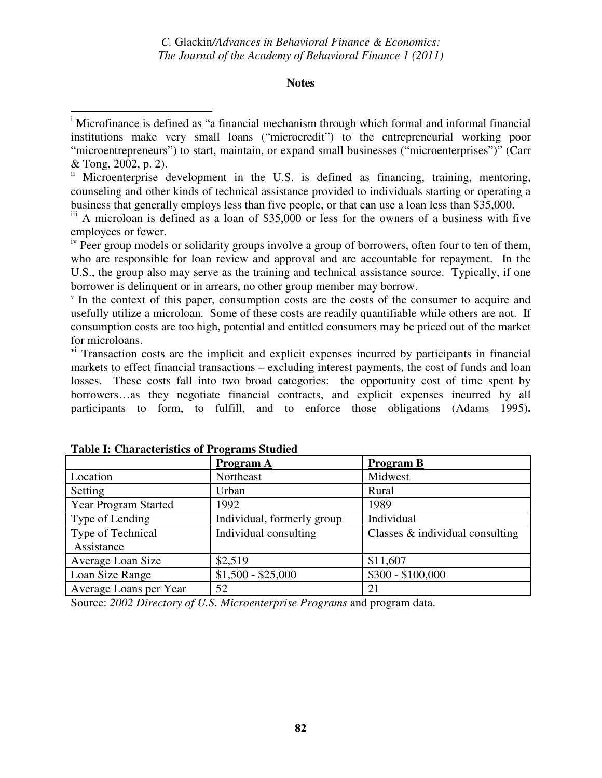## **Notes**

 $\mu$ <sup>iv</sup> Peer group models or solidarity groups involve a group of borrowers, often four to ten of them, who are responsible for loan review and approval and are accountable for repayment. In the U.S., the group also may serve as the training and technical assistance source. Typically, if one borrower is delinquent or in arrears, no other group member may borrow.

v In the context of this paper, consumption costs are the costs of the consumer to acquire and usefully utilize a microloan. Some of these costs are readily quantifiable while others are not. If consumption costs are too high, potential and entitled consumers may be priced out of the market for microloans.

**vi** Transaction costs are the implicit and explicit expenses incurred by participants in financial markets to effect financial transactions – excluding interest payments, the cost of funds and loan losses. These costs fall into two broad categories: the opportunity cost of time spent by borrowers…as they negotiate financial contracts, and explicit expenses incurred by all participants to form, to fulfill, and to enforce those obligations (Adams 1995)**.** 

|                             | Program A                  | <b>Program B</b>                   |
|-----------------------------|----------------------------|------------------------------------|
| Location                    | Northeast                  | Midwest                            |
| Setting                     | Urban                      | Rural                              |
| <b>Year Program Started</b> | 1992                       | 1989                               |
| Type of Lending             | Individual, formerly group | Individual                         |
| Type of Technical           | Individual consulting      | Classes $\&$ individual consulting |
| Assistance                  |                            |                                    |
| Average Loan Size           | \$2,519                    | \$11,607                           |
| Loan Size Range             | $$1,500 - $25,000$         | $$300 - $100,000$                  |
| Average Loans per Year      | 52                         | 21                                 |

| <b>Table I: Characteristics of Programs Studied</b> |  |
|-----------------------------------------------------|--|
|                                                     |  |

 $\overline{a}$ 

Source: *2002 Directory of U.S. Microenterprise Programs* and program data.

<sup>&</sup>lt;sup>i</sup> Microfinance is defined as "a financial mechanism through which formal and informal financial institutions make very small loans ("microcredit") to the entrepreneurial working poor "microentrepreneurs") to start, maintain, or expand small businesses ("microenterprises")" (Carr & Tong, 2002, p. 2).

ii Microenterprise development in the U.S. is defined as financing, training, mentoring, counseling and other kinds of technical assistance provided to individuals starting or operating a business that generally employs less than five people, or that can use a loan less than \$35,000.

iii A microloan is defined as a loan of \$35,000 or less for the owners of a business with five employees or fewer.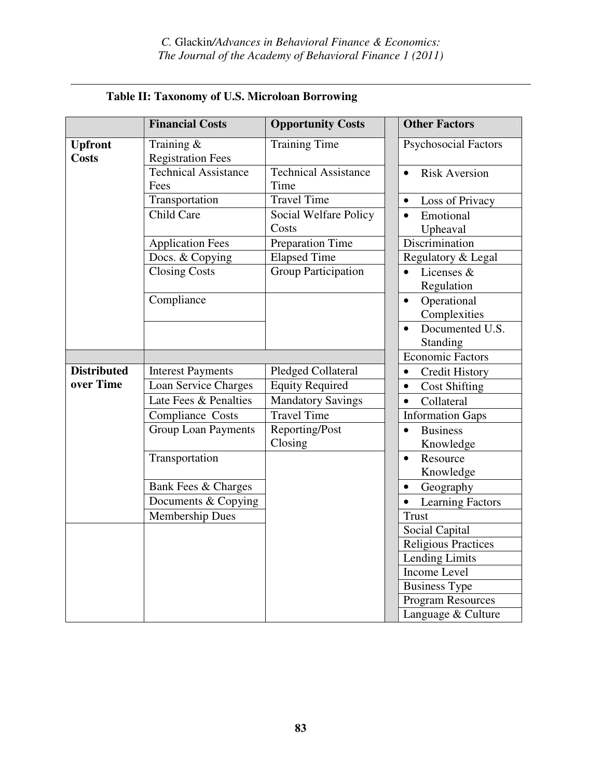|                                | <b>Financial Costs</b>                 | <b>Opportunity Costs</b>       | <b>Other Factors</b>                      |
|--------------------------------|----------------------------------------|--------------------------------|-------------------------------------------|
| <b>Upfront</b><br><b>Costs</b> | Training &<br><b>Registration Fees</b> | <b>Training Time</b>           | <b>Psychosocial Factors</b>               |
|                                | <b>Technical Assistance</b><br>Fees    | Technical Assistance<br>Time   | <b>Risk Aversion</b><br>$\bullet$         |
|                                | Transportation                         | <b>Travel Time</b>             | Loss of Privacy<br>$\bullet$              |
|                                | Child Care                             | Social Welfare Policy<br>Costs | Emotional<br>Upheaval                     |
|                                | <b>Application Fees</b>                | <b>Preparation Time</b>        | Discrimination                            |
|                                | Docs. & Copying                        | <b>Elapsed Time</b>            | Regulatory & Legal                        |
|                                | <b>Closing Costs</b>                   | <b>Group Participation</b>     | Licenses &<br>Regulation                  |
|                                | Compliance                             |                                | Operational<br>$\bullet$<br>Complexities  |
|                                |                                        |                                | Documented U.S.<br>$\bullet$<br>Standing  |
|                                |                                        |                                | <b>Economic Factors</b>                   |
| <b>Distributed</b>             | <b>Interest Payments</b>               | Pledged Collateral             | Credit History<br>$\bullet$               |
| over Time                      | Loan Service Charges                   | <b>Equity Required</b>         | <b>Cost Shifting</b><br>$\bullet$         |
|                                | Late Fees & Penalties                  | Mandatory Savings              | Collateral<br>$\bullet$                   |
|                                | Compliance Costs                       | <b>Travel Time</b>             | <b>Information Gaps</b>                   |
|                                | <b>Group Loan Payments</b>             | Reporting/Post<br>Closing      | <b>Business</b><br>$\bullet$<br>Knowledge |
|                                | Transportation                         |                                | Resource<br>$\bullet$<br>Knowledge        |
|                                | Bank Fees & Charges                    |                                | Geography                                 |
|                                | Documents & Copying                    |                                | <b>Learning Factors</b><br>$\bullet$      |
|                                | <b>Membership Dues</b>                 |                                | <b>Trust</b>                              |
|                                |                                        |                                | Social Capital                            |
|                                |                                        |                                | <b>Religious Practices</b>                |
|                                |                                        |                                | <b>Lending Limits</b>                     |
|                                |                                        |                                | Income Level                              |
|                                |                                        |                                | <b>Business Type</b>                      |
|                                |                                        |                                | Program Resources                         |
|                                |                                        |                                | Language & Culture                        |

# **Table II: Taxonomy of U.S. Microloan Borrowing**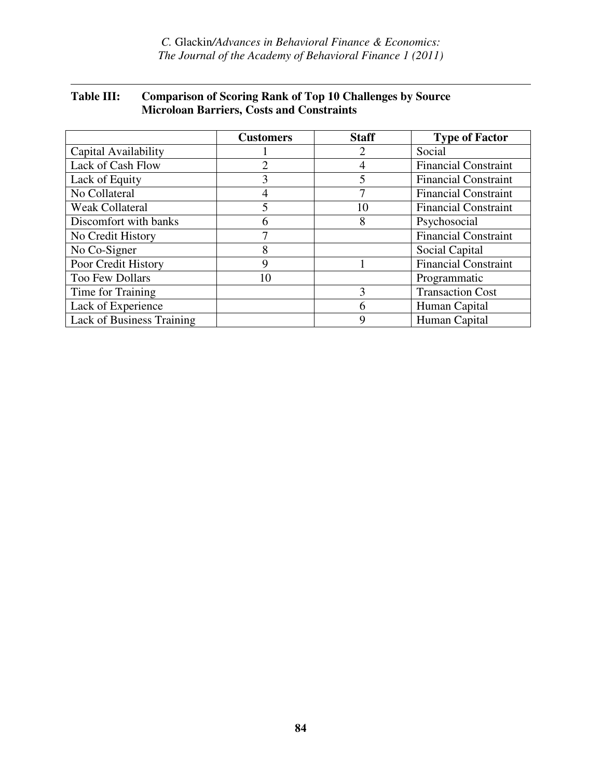# **Table III: Comparison of Scoring Rank of Top 10 Challenges by Source Microloan Barriers, Costs and Constraints**

|                           | <b>Customers</b> | <b>Staff</b> | <b>Type of Factor</b>       |
|---------------------------|------------------|--------------|-----------------------------|
| Capital Availability      |                  | 2            | Social                      |
| Lack of Cash Flow         | 2                |              | <b>Financial Constraint</b> |
| Lack of Equity            | 3                | 5            | <b>Financial Constraint</b> |
| No Collateral             | 4                |              | <b>Financial Constraint</b> |
| <b>Weak Collateral</b>    | 5                | 10           | <b>Financial Constraint</b> |
| Discomfort with banks     | 6                | 8            | Psychosocial                |
| No Credit History         | 7                |              | <b>Financial Constraint</b> |
| No Co-Signer              | 8                |              | Social Capital              |
| Poor Credit History       | 9                |              | <b>Financial Constraint</b> |
| Too Few Dollars           | 10               |              | Programmatic                |
| Time for Training         |                  | 3            | <b>Transaction Cost</b>     |
| Lack of Experience        |                  | 6            | Human Capital               |
| Lack of Business Training |                  | 9            | Human Capital               |